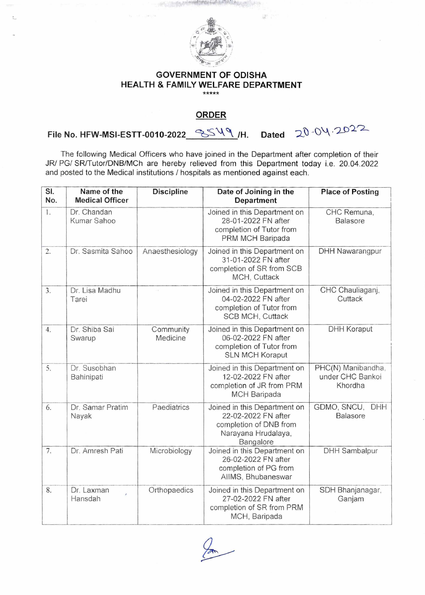

第一)

## **GOVERNMENT OF ODISHA HEALTH & FAMILY WELFARE DEPARTMENT**

## **ORDER**

File No. HFW-MSI-ESTT-0010-2022\_<sup>-</sup>SS<sup>V</sup>\/H. Dated  $-20$ -04-2022

The following Medical Officers who have joined in the Department after completion of their JR/ PG/ SR/Tutor/DNB/MCh are hereby relieved from this Department today i.e. 20.04.2022 and posted to the Medical institutions / hospitals as mentioned against each.

| SI.<br>No. | Name of the<br><b>Medical Officer</b> | <b>Discipline</b>     | Date of Joining in the<br><b>Department</b>                                                                       | <b>Place of Posting</b>                           |
|------------|---------------------------------------|-----------------------|-------------------------------------------------------------------------------------------------------------------|---------------------------------------------------|
| 1.         | Dr. Chandan<br>Kumar Sahoo            |                       | Joined in this Department on<br>28-01-2022 FN after<br>completion of Tutor from<br>PRM MCH Baripada               | CHC Remuna,<br>Balasore                           |
| 2.         | Dr. Sasmita Sahoo                     | Anaesthesiology       | Joined in this Department on<br>31-01-2022 FN after<br>completion of SR from SCB<br>MCH, Cuttack                  | <b>DHH Nawarangpur</b>                            |
| 3.         | Dr. Lisa Madhu<br>Tarei               |                       | Joined in this Department on<br>04-02-2022 FN after<br>completion of Tutor from<br>SCB MCH, Cuttack               | CHC Chauliaganj,<br>Cuttack                       |
| 4.         | Dr. Shiba Sai<br>Swarup               | Community<br>Medicine | Joined in this Department on<br>06-02-2022 FN after<br>completion of Tutor from<br><b>SLN MCH Koraput</b>         | <b>DHH Koraput</b>                                |
| 5.         | Dr. Susobhan<br>Bahinipati            |                       | Joined in this Department on<br>12-02-2022 FN after<br>completion of JR from PRM<br><b>MCH Baripada</b>           | PHC(N) Manibandha,<br>under CHC Bankoi<br>Khordha |
| 6.         | Dr. Samar Pratim<br>Nayak             | Paediatrics           | Joined in this Department on<br>22-02-2022 FN after<br>completion of DNB from<br>Narayana Hrudalaya,<br>Bangalore | GDMO, SNCU,<br><b>DHH</b><br><b>Balasore</b>      |
| 7.         | Dr. Amresh Pati                       | Microbiology          | Joined in this Department on<br>26-02-2022 FN after<br>completion of PG from<br>AIIMS, Bhubaneswar                | <b>DHH Sambalpur</b>                              |
| 8.         | Dr. Laxman<br>Hansdah                 | Orthopaedics          | Joined in this Department on<br>27-02-2022 FN after<br>completion of SR from PRM<br>MCH, Baripada                 | SDH Bhanjanagar,<br>Ganjam                        |

 $\overline{a}$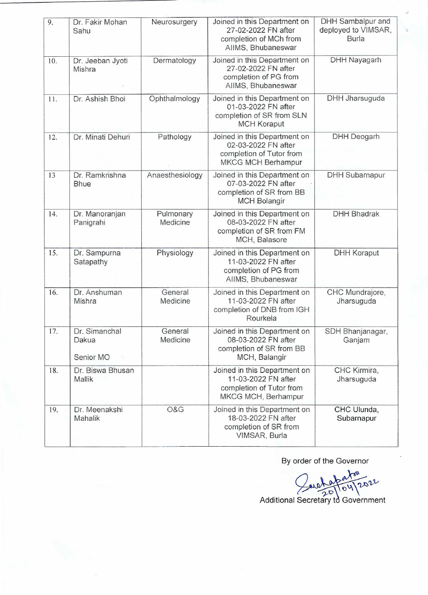| 9.  | Dr. Fakir Mohan<br>Sahu             | Neurosurgery          | Joined in this Department on<br>27-02-2022 FN after<br>completion of MCh from<br>AllMS, Bhubaneswar          | <b>DHH Sambalpur and</b><br>deployed to VIMSAR,<br><b>Burla</b> |
|-----|-------------------------------------|-----------------------|--------------------------------------------------------------------------------------------------------------|-----------------------------------------------------------------|
| 10. | Dr. Jeeban Jyoti<br>Mishra          | Dermatology           | Joined in this Department on<br>27-02-2022 FN after<br>completion of PG from<br>AIIMS, Bhubaneswar           | <b>DHH Nayagarh</b>                                             |
| 11. | Dr. Ashish Bhoi                     | Ophthalmology         | Joined in this Department on<br>01-03-2022 FN after<br>completion of SR from SLN<br><b>MCH Koraput</b>       | <b>DHH Jharsuguda</b>                                           |
| 12. | Dr. Minati Dehuri                   | Pathology             | Joined in this Department on<br>02-03-2022 FN after<br>completion of Tutor from<br><b>MKCG MCH Berhampur</b> | <b>DHH Deogarh</b>                                              |
| 13  | Dr. Ramkrishna<br><b>Bhue</b>       | Anaesthesiology       | Joined in this Department on<br>07-03-2022 FN after<br>completion of SR from BB<br><b>MCH Bolangir</b>       | <b>DHH Subarnapur</b>                                           |
| 14. | Dr. Manoranjan<br>Panigrahi         | Pulmonary<br>Medicine | Joined in this Department on<br>08-03-2022 FN after<br>completion of SR from FM<br>MCH, Balasore             | <b>DHH Bhadrak</b>                                              |
| 15. | Dr. Sampurna<br>Satapathy           | Physiology            | Joined in this Department on<br>11-03-2022 FN after<br>completion of PG from<br>AllMS, Bhubaneswar           | <b>DHH Koraput</b>                                              |
| 16. | Dr. Anshuman<br>Mishra              | General<br>Medicine   | Joined in this Department on<br>11-03-2022 FN after<br>completion of DNB from IGH<br>Rourkela                | CHC Mundrajore,<br>Jharsuguda                                   |
| 17. | Dr. Simanchal<br>Dakua<br>Senior MO | General<br>Medicine   | Joined in this Department on<br>08-03-2022 FN after<br>completion of SR from BB<br>MCH, Balangir             | SDH Bhanjanagar,<br>Ganjam                                      |
| 18. | Dr. Biswa Bhusan<br>Mallik          |                       | Joined in this Department on<br>11-03-2022 FN after<br>completion of Tutor from<br>MKCG MCH, Berhampur       | CHC Kirmira,<br>Jharsuguda                                      |
| 19. | Dr. Meenakshi<br>Mahalik            | O&G                   | Joined in this Department on<br>18-03-2022 FN after<br>completion of SR from<br>VIMSAR, Burla                | CHC Ulunda,<br>Subarnapur                                       |

By order of the Governor

 $x^{\alpha}$  $\mathbf{u}$ 04/202 Additional Secretary td Government